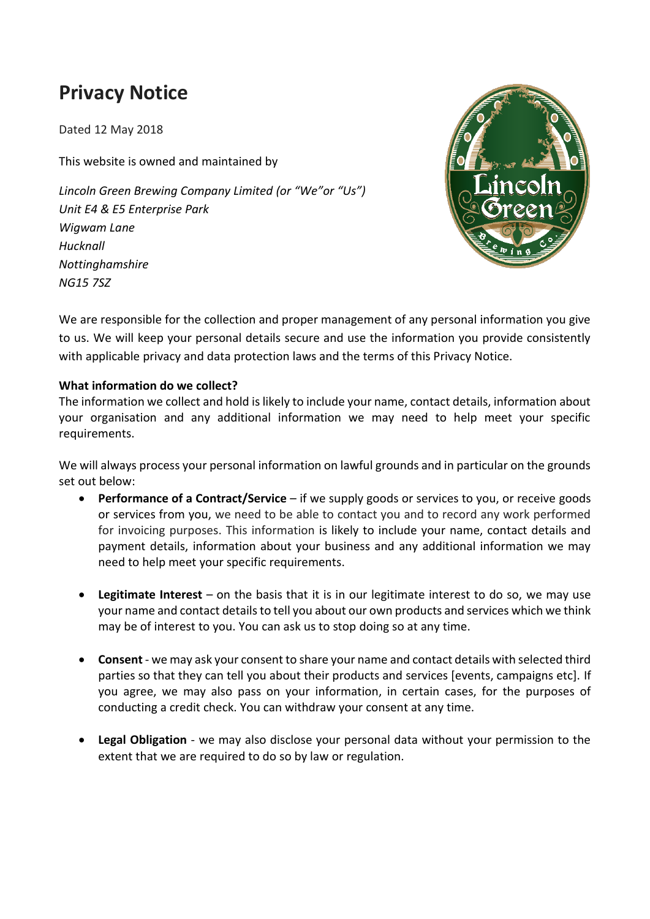# **Privacy Notice**

Dated 12 May 2018

This website is owned and maintained by

*Lincoln Green Brewing Company Limited (or "We"or "Us") Unit E4 & E5 Enterprise Park Wigwam Lane Hucknall Nottinghamshire NG15 7SZ*



We are responsible for the collection and proper management of any personal information you give to us. We will keep your personal details secure and use the information you provide consistently with applicable privacy and data protection laws and the terms of this Privacy Notice.

## **What information do we collect?**

The information we collect and hold is likely to include your name, contact details, information about your organisation and any additional information we may need to help meet your specific requirements.

We will always process your personal information on lawful grounds and in particular on the grounds set out below:

- **Performance of a Contract/Service** if we supply goods or services to you, or receive goods or services from you, we need to be able to contact you and to record any work performed for invoicing purposes. This information is likely to include your name, contact details and payment details, information about your business and any additional information we may need to help meet your specific requirements.
- **Legitimate Interest** on the basis that it is in our legitimate interest to do so, we may use your name and contact details to tell you about our own products and services which we think may be of interest to you. You can ask us to stop doing so at any time.
- **Consent** we may ask your consent to share your name and contact details with selected third parties so that they can tell you about their products and services [events, campaigns etc]. If you agree, we may also pass on your information, in certain cases, for the purposes of conducting a credit check. You can withdraw your consent at any time.
- **Legal Obligation** we may also disclose your personal data without your permission to the extent that we are required to do so by law or regulation.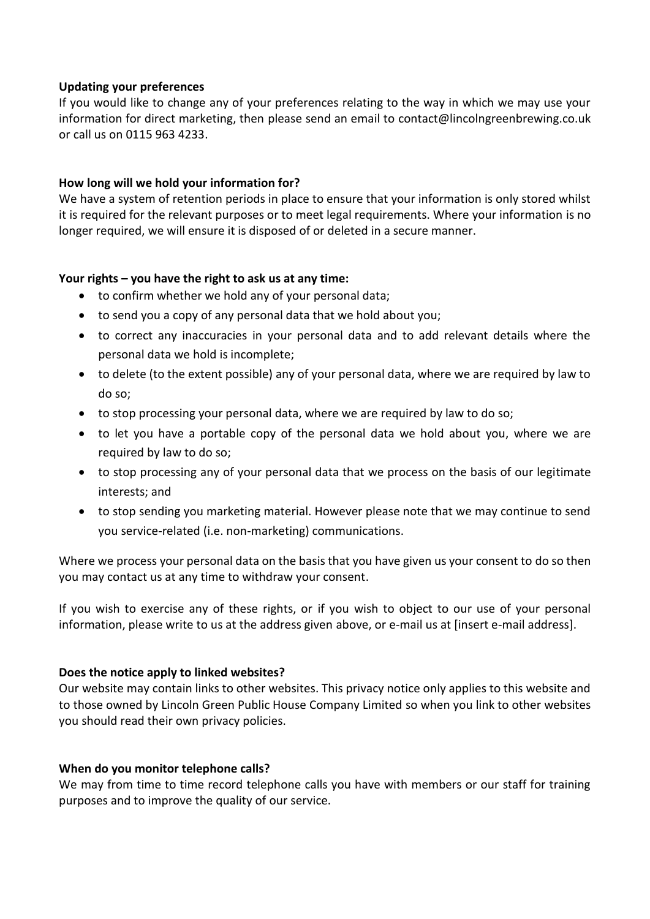#### **Updating your preferences**

If you would like to change any of your preferences relating to the way in which we may use your information for direct marketing, then please send an email to contact@lincolngreenbrewing.co.uk or call us on 0115 963 4233.

### **How long will we hold your information for?**

We have a system of retention periods in place to ensure that your information is only stored whilst it is required for the relevant purposes or to meet legal requirements. Where your information is no longer required, we will ensure it is disposed of or deleted in a secure manner.

#### **Your rights – you have the right to ask us at any time:**

- to confirm whether we hold any of your personal data;
- to send you a copy of any personal data that we hold about you;
- to correct any inaccuracies in your personal data and to add relevant details where the personal data we hold is incomplete;
- to delete (to the extent possible) any of your personal data, where we are required by law to do so;
- to stop processing your personal data, where we are required by law to do so;
- to let you have a portable copy of the personal data we hold about you, where we are required by law to do so;
- to stop processing any of your personal data that we process on the basis of our legitimate interests; and
- to stop sending you marketing material. However please note that we may continue to send you service-related (i.e. non-marketing) communications.

Where we process your personal data on the basis that you have given us your consent to do so then you may contact us at any time to withdraw your consent.

If you wish to exercise any of these rights, or if you wish to object to our use of your personal information, please write to us at the address given above, or e-mail us at [insert e-mail address].

## **Does the notice apply to linked websites?**

Our website may contain links to other websites. This privacy notice only applies to this website and to those owned by Lincoln Green Public House Company Limited so when you link to other websites you should read their own privacy policies.

#### **When do you monitor telephone calls?**

We may from time to time record telephone calls you have with members or our staff for training purposes and to improve the quality of our service.